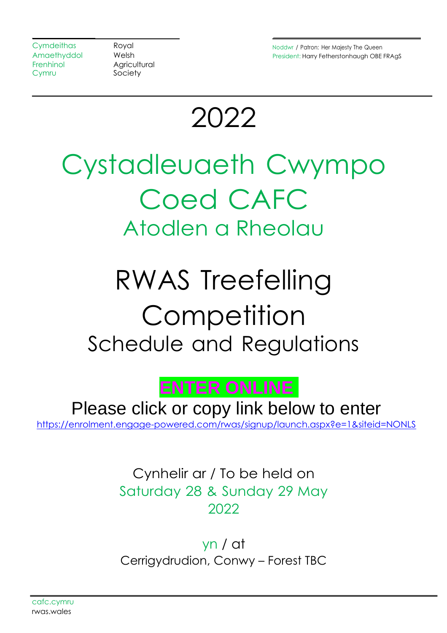Frenhinol Agricultural Cymru Society

Cymdeithas **Royal Royal Royal Royal Rowal Reserves Avenue** Noddwr / Patron: Her Majesty The Queen Amaethyddol Welsh **President: Harry Fetherstonhaugh OBE FRAgS** 

2022

# Cystadleuaeth Cwympo Coed CAFC Atodlen a Rheolau

# RWAS Treefelling **Competition** Schedule and Regulations



Please click or copy link below to enter [https://enrolment.engage-powered.com/rwas/signup/launch.aspx?e=1&siteid=NONLS](https://protect-eu.mimecast.com/s/QSAyCr8gnhDm6pF7s4F0)

> Cynhelir ar / To be held on Saturday 28 & Sunday 29 May 2022

> yn / at Cerrigydrudion, Conwy – Forest TBC

cafc.cymru rwas.wales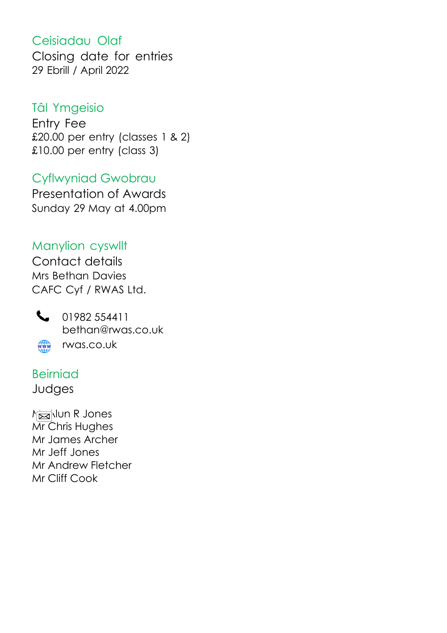# Ceisiadau Olaf

Closing date for entries 29 Ebrill / April 2022

## Tâl Ymgeisio

Entry Fee £20.00 per entry (classes 1 & 2) £10.00 per entry (class 3)

Cyflwyniad Gwobrau Presentation of Awards Sunday 29 May at 4.00pm

Manylion cyswllt Contact details Mrs Bethan Davies CAFC Cyf / RWAS Ltd.



101982 554411 bethan@rwas.co.uk www rwas.co.uk

Beirniad

Judges

Missilun R Jones Mr Chris Hughes Mr James Archer Mr Jeff Jones Mr Andrew Fletcher Mr Cliff Cook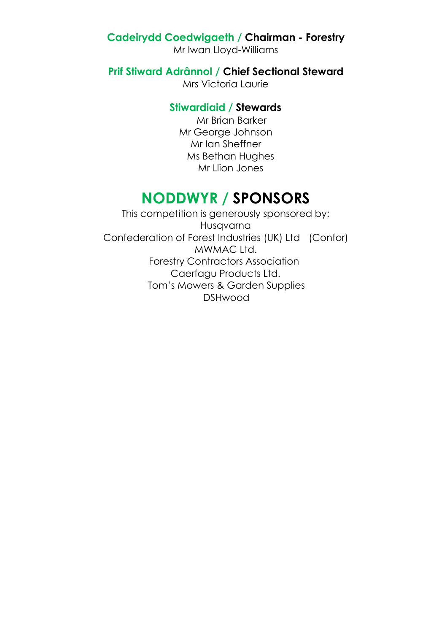#### **Cadeirydd Coedwigaeth / Chairman - Forestry**

Mr Iwan Lloyd-Williams

**Prif Stiward Adrânnol / Chief Sectional Steward**

Mrs Victoria Laurie

#### **Stiwardiaid / Stewards**

Mr Brian Barker Mr George Johnson Mr Ian Sheffner Ms Bethan Hughes Mr Llion Jones

# **NODDWYR / SPONSORS**

This competition is generously sponsored by: Husqvarna Confederation of Forest Industries (UK) Ltd (Confor) MWMAC Ltd. Forestry Contractors Association Caerfagu Products Ltd. Tom's Mowers & Garden Supplies DSHwood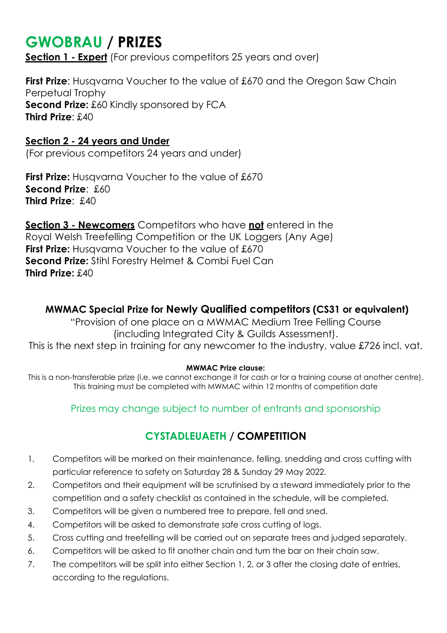# **GWOBRAU / PRIZES**

**Section 1 - Expert** (For previous competitors 25 years and over)

**First Prize:** Husgvarna Voucher to the value of £670 and the Oregon Saw Chain Perpetual Trophy **Second Prize:** £60 Kindly sponsored by FCA **Third Prize**: £40

#### **Section 2 - 24 years and Under**

(For previous competitors 24 years and under)

**First Prize:** Husqvarna Voucher to the value of £670 **Second Prize**: £60 **Third Prize**: £40

**Section 3 - Newcomers** Competitors who have **not** entered in the Royal Welsh Treefelling Competition or the UK Loggers (Any Age) **First Prize:** Husqvarna Voucher to the value of £670 **Second Prize:** Stihl Forestry Helmet & Combi Fuel Can **Third Prize:** £40

#### **MWMAC Special Prize for Newly Qualified competitors (CS31 or equivalent)**

"Provision of one place on a MWMAC Medium Tree Felling Course (including Integrated City & Guilds Assessment). This is the next step in training for any newcomer to the industry, value £726 incl. vat.

#### **MWMAC Prize clause:**

This is a non-transferable prize (i.e. we cannot exchange it for cash or for a training course at another centre). This training must be completed with MWMAC within 12 months of competition date

Prizes may change subject to number of entrants and sponsorship

### **CYSTADLEUAETH / COMPETITION**

- 1. Competitors will be marked on their maintenance, felling, snedding and cross cutting with particular reference to safety on Saturday 28 & Sunday 29 May 2022.
- 2. Competitors and their equipment will be scrutinised by a steward immediately prior to the competition and a safety checklist as contained in the schedule, will be completed.
- 3. Competitors will be given a numbered tree to prepare, fell and sned.
- 4. Competitors will be asked to demonstrate safe cross cutting of logs.
- 5. Cross cutting and treefelling will be carried out on separate trees and judged separately.
- 6. Competitors will be asked to fit another chain and turn the bar on their chain saw.
- 7. The competitors will be split into either Section 1, 2, or 3 after the closing date of entries, according to the regulations.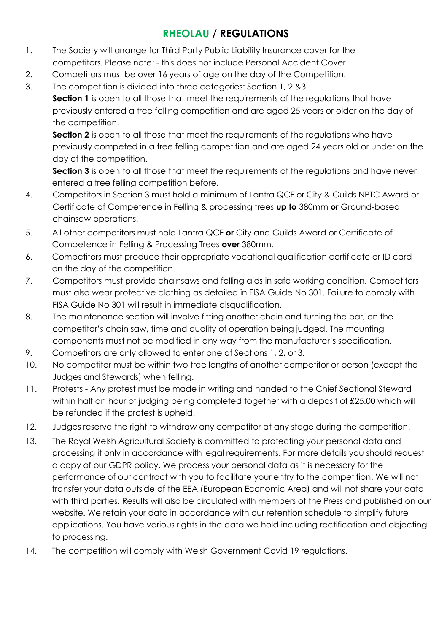### **RHEOLAU / REGULATIONS**

- 1. The Society will arrange for Third Party Public Liability Insurance cover for the competitors. Please note: - this does not include Personal Accident Cover.
- 2. Competitors must be over 16 years of age on the day of the Competition.
- 3. The competition is divided into three categories: Section 1, 2 &3 **Section 1** is open to all those that meet the requirements of the regulations that have previously entered a tree felling competition and are aged 25 years or older on the day of the competition.

**Section 2** is open to all those that meet the requirements of the regulations who have previously competed in a tree felling competition and are aged 24 years old or under on the day of the competition.

**Section 3** is open to all those that meet the requirements of the requidtions and have never entered a tree felling competition before.

- 4. Competitors in Section 3 must hold a minimum of Lantra QCF or City & Guilds NPTC Award or Certificate of Competence in Felling & processing trees **up to** 380mm **or** Ground-based chainsaw operations.
- 5. All other competitors must hold Lantra QCF **or** City and Guilds Award or Certificate of Competence in Felling & Processing Trees **over** 380mm.
- 6. Competitors must produce their appropriate vocational qualification certificate or ID card on the day of the competition.
- 7. Competitors must provide chainsaws and felling aids in safe working condition. Competitors must also wear protective clothing as detailed in FISA Guide No 301. Failure to comply with FISA Guide No 301 will result in immediate disqualification.
- 8. The maintenance section will involve fitting another chain and turning the bar, on the competitor's chain saw, time and quality of operation being judged. The mounting components must not be modified in any way from the manufacturer's specification.
- 9. Competitors are only allowed to enter one of Sections 1, 2, or 3.
- 10. No competitor must be within two tree lengths of another competitor or person (except the Judges and Stewards) when felling.
- 11. Protests Any protest must be made in writing and handed to the Chief Sectional Steward within half an hour of judging being completed together with a deposit of £25.00 which will be refunded if the protest is upheld.
- 12. Judges reserve the right to withdraw any competitor at any stage during the competition.
- 13. The Royal Welsh Agricultural Society is committed to protecting your personal data and processing it only in accordance with legal requirements. For more details you should request a copy of our GDPR policy. We process your personal data as it is necessary for the performance of our contract with you to facilitate your entry to the competition. We will not transfer your data outside of the EEA (European Economic Area) and will not share your data with third parties. Results will also be circulated with members of the Press and published on our website. We retain your data in accordance with our retention schedule to simplify future applications. You have various rights in the data we hold including rectification and objecting to processing.
- 14. The competition will comply with Welsh Government Covid 19 regulations.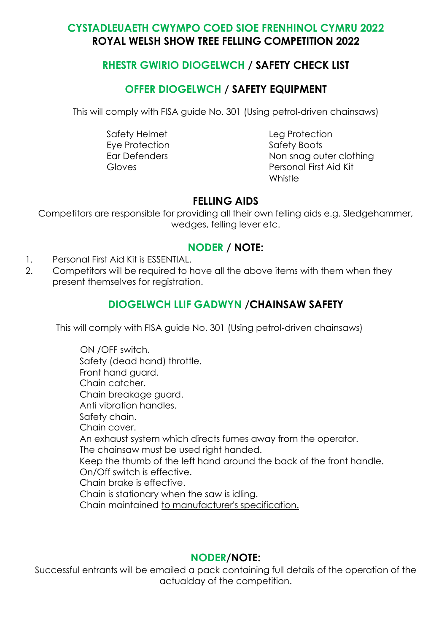#### **CYSTADLEUAETH CWYMPO COED SIOE FRENHINOL CYMRU 2022 ROYAL WELSH SHOW TREE FELLING COMPETITION 2022**

#### **RHESTR GWIRIO DIOGELWCH / SAFETY CHECK LIST**

#### **OFFER DIOGELWCH / SAFETY EQUIPMENT**

This will comply with FISA guide No. 301 (Using petrol-driven chainsaws)

Safety Helmet Leg Protection Eye Protection Safety Boots

Ear Defenders Non snag outer clothing Gloves Personal First Aid Kit Whistle

#### **FELLING AIDS**

Competitors are responsible for providing all their own felling aids e.g. Sledgehammer, wedges, felling lever etc.

#### **NODER / NOTE:**

- 1. Personal First Aid Kit is ESSENTIAL.
- 2. Competitors will be required to have all the above items with them when they present themselves for registration.

#### **DIOGELWCH LLIF GADWYN /CHAINSAW SAFETY**

This will comply with FISA guide No. 301 (Using petrol-driven chainsaws)

 ON /OFF switch. Safety (dead hand) throttle. Front hand guard. Chain catcher. Chain breakage guard. Anti vibration handles. Safety chain. Chain cover. An exhaust system which directs fumes away from the operator. The chainsaw must be used right handed. Keep the thumb of the left hand around the back of the front handle. On/Off switch is effective. Chain brake is effective. Chain is stationary when the saw is idling. Chain maintained to manufacturer's specification.

#### **NODER/NOTE:**

Successful entrants will be emailed a pack containing full details of the operation of the actualday of the competition.